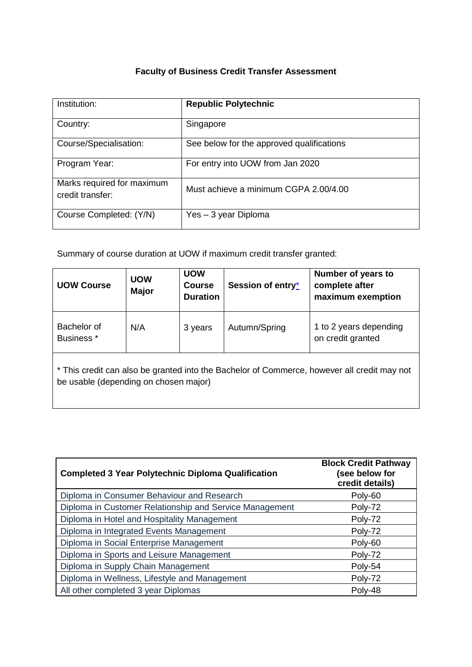# **Faculty of Business Credit Transfer Assessment**

| Institution:                                   | <b>Republic Polytechnic</b>               |
|------------------------------------------------|-------------------------------------------|
| Country:                                       | Singapore                                 |
| Course/Specialisation:                         | See below for the approved qualifications |
| Program Year:                                  | For entry into UOW from Jan 2020          |
| Marks required for maximum<br>credit transfer: | Must achieve a minimum CGPA 2.00/4.00     |
| Course Completed: (Y/N)                        | Yes – 3 year Diploma                      |

Summary of course duration at UOW if maximum credit transfer granted:

| <b>UOW Course</b>                                                                                                                    | <b>UOW</b><br><b>Major</b> | <b>UOW</b><br><b>Course</b><br><b>Duration</b> | Session of entry* | Number of years to<br>complete after<br>maximum exemption |
|--------------------------------------------------------------------------------------------------------------------------------------|----------------------------|------------------------------------------------|-------------------|-----------------------------------------------------------|
| Bachelor of<br>Business <sup>*</sup>                                                                                                 | N/A                        | 3 years                                        | Autumn/Spring     | 1 to 2 years depending<br>on credit granted               |
| * This credit can also be granted into the Bachelor of Commerce, however all credit may not<br>be usable (depending on chosen major) |                            |                                                |                   |                                                           |

| <b>Completed 3 Year Polytechnic Diploma Qualification</b> | <b>Block Credit Pathway</b><br>(see below for<br>credit details) |
|-----------------------------------------------------------|------------------------------------------------------------------|
| Diploma in Consumer Behaviour and Research                | Poly-60                                                          |
| Diploma in Customer Relationship and Service Management   | Poly-72                                                          |
| Diploma in Hotel and Hospitality Management               | Poly-72                                                          |
| Diploma in Integrated Events Management                   | Poly-72                                                          |
| Diploma in Social Enterprise Management                   | Poly-60                                                          |
| Diploma in Sports and Leisure Management                  | Poly-72                                                          |
| Diploma in Supply Chain Management                        | Poly-54                                                          |
| Diploma in Wellness, Lifestyle and Management             | Poly-72                                                          |
| All other completed 3 year Diplomas                       | Poly-48                                                          |